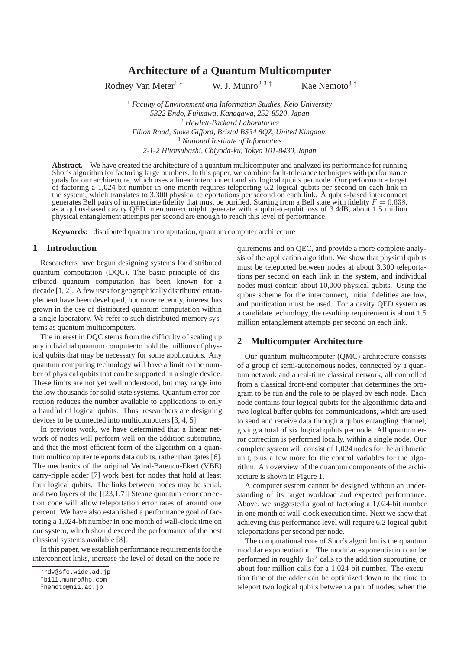# **Architecture of a Quantum Multicomputer**

Rodney Van Meter<sup>1</sup> \* W. J. Munro<sup>2 3 †</sup> Kae Nemoto<sup>3‡</sup>

<sup>1</sup> *Faculty of Environment and Information Studies, Keio University 5322 Endo, Fujisawa, Kanagawa, 252-8520, Japan* <sup>2</sup> *Hewlett-Packard Laboratories Filton Road, Stoke Gifford, Bristol BS34 8QZ, United Kingdom* <sup>3</sup> *National Institute of Informatics 2-1-2 Hitotsubashi, Chiyoda-ku, Tokyo 101-8430, Japan*

**Abstract.** We have created the architecture of a quantum multicomputer and analyzed its performance for running Shor's algorithm for factoring large numbers. In this paper, we combine fault-tolerance techniques with performance goals for our architecture, which uses a linear interconnect and six logical qubits per node. Our performance target of factoring a 1,024-bit number in one month requires teleporting 6.2 logical qubits per second on each link in the system, which translates to 3,300 physical teleportations per second on each link. A qubus-based interconnect<br>generates Bell pairs of intermediate fidelity that must be purified. Starting from a Bell state with fideli as a qubus-based cavity QED interconnect might generate with a qubit-to-qubit loss of 3.4dB, about 1.5 million physical entanglement attempts per second are enough to reach this level of performance.

**Keywords:** distributed quantum computation, quantum computer architecture

## **1 Introduction**

Researchers have begun designing systems for distributed quantum computation (DQC). The basic principle of distributed quantum computation has been known for a decade [1, 2]. A few uses for geographically distributed entanglement have been developed, but more recently, interest has grown in the use of distributed quantum computation within a single laboratory. We refer to such distributed-memory systems as quantum multicomputers.

The interest in DQC stems from the difficulty of scaling up any individual quantum computer to hold the millions of physical qubits that may be necessary for some applications. Any quantum computing technology will have a limit to the number of physical qubits that can be supported in a single device. These limits are not yet well understood, but may range into the low thousands for solid-state systems. Quantum error correction reduces the number available to applications to only a handful of logical qubits. Thus, researchers are designing devices to be connected into multicomputers [3, 4, 5].

In previous work, we have determined that a linear network of nodes will perform well on the addition subroutine, and that the most efficient form of the algorithm on a quantum multicomputer teleports data qubits, rather than gates [6]. The mechanics of the original Vedral-Barenco-Ekert (VBE) carry-ripple adder [7] work best for nodes that hold at least four logical qubits. The links between nodes may be serial, and two layers of the [[23,1,7]] Steane quantum error correction code will allow teleportation error rates of around one percent. We have also established a performance goal of factoring a 1,024-bit number in one month of wall-clock time on our system, which should exceed the performance of the best classical systems available [8].

In this paper, we establish performance requirements for the interconnect links, increase the level of detail on the node requirements and on QEC, and provide a more complete analysis of the application algorithm. We show that physical qubits must be teleported between nodes at about 3,300 teleportations per second on each link in the system, and individual nodes must contain about 10,000 physical qubits. Using the qubus scheme for the interconnect, initial fidelities are low, and purification must be used. For a cavity QED system as a candidate technology, the resulting requirement is about 1.5 million entanglement attempts per second on each link.

### **2 Multicomputer Architecture**

Our quantum multicomputer (QMC) architecture consists of a group of semi-autonomous nodes, connected by a quantum network and a real-time classical network, all controlled from a classical front-end computer that determines the program to be run and the role to be played by each node. Each node contains four logical qubits for the algorithmic data and two logical buffer qubits for communications, which are used to send and receive data through a qubus entangling channel, giving a total of six logical qubits per node. All quantum error correction is performed locally, within a single node. Our complete system will consist of 1,024 nodes for the arithmetic unit, plus a few more for the control variables for the algorithm. An overview of the quantum components of the architecture is shown in Figure 1.

A computer system cannot be designed without an understanding of its target workload and expected performance. Above, we suggested a goal of factoring a 1,024-bit number in one month of wall-clock execution time. Next we show that achieving this performance level will require 6.2 logical qubit teleportations per second per node.

The computational core of Shor's algorithm is the quantum modular exponentiation. The modular exponentiation can be performed in roughly  $4n^2$  calls to the addition subroutine, or about four million calls for a 1,024-bit number. The execution time of the adder can be optimized down to the time to teleport two logical qubits between a pair of nodes, when the

<sup>∗</sup>rdv@sfc.wide.ad.jp

<sup>†</sup>bill.munro@hp.com

<sup>‡</sup>nemoto@nii.ac.jp